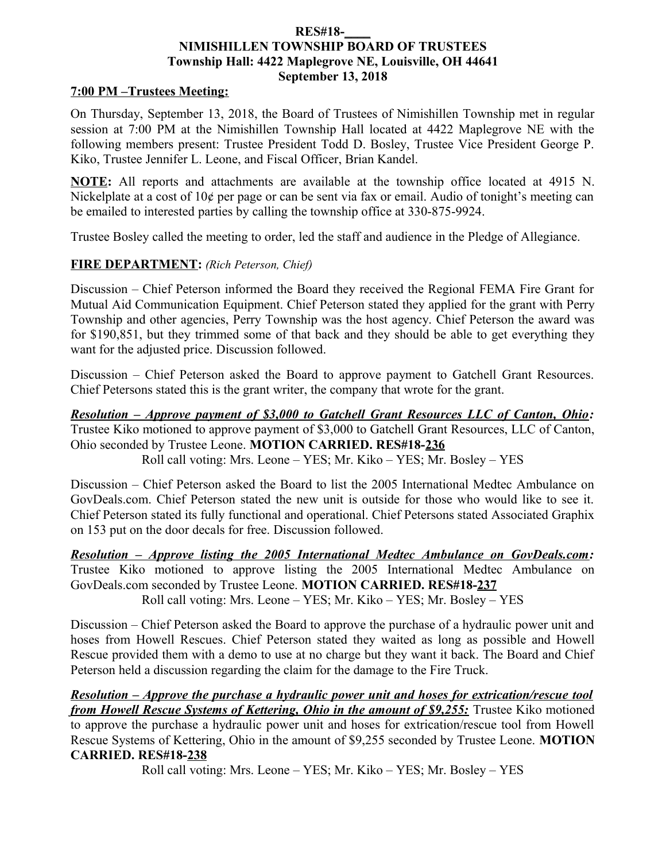#### **RES#18-\_\_\_\_ NIMISHILLEN TOWNSHIP BOARD OF TRUSTEES Township Hall: 4422 Maplegrove NE, Louisville, OH 44641 September 13, 2018**

#### **7:00 PM –Trustees Meeting:**

On Thursday, September 13, 2018, the Board of Trustees of Nimishillen Township met in regular session at 7:00 PM at the Nimishillen Township Hall located at 4422 Maplegrove NE with the following members present: Trustee President Todd D. Bosley, Trustee Vice President George P. Kiko, Trustee Jennifer L. Leone, and Fiscal Officer, Brian Kandel.

**NOTE:** All reports and attachments are available at the township office located at 4915 N. Nickelplate at a cost of 10¢ per page or can be sent via fax or email. Audio of tonight's meeting can be emailed to interested parties by calling the township office at 330-875-9924.

Trustee Bosley called the meeting to order, led the staff and audience in the Pledge of Allegiance.

### **FIRE DEPARTMENT:** *(Rich Peterson, Chief)*

Discussion – Chief Peterson informed the Board they received the Regional FEMA Fire Grant for Mutual Aid Communication Equipment. Chief Peterson stated they applied for the grant with Perry Township and other agencies, Perry Township was the host agency. Chief Peterson the award was for \$190,851, but they trimmed some of that back and they should be able to get everything they want for the adjusted price. Discussion followed.

Discussion – Chief Peterson asked the Board to approve payment to Gatchell Grant Resources. Chief Petersons stated this is the grant writer, the company that wrote for the grant.

*Resolution – Approve payment of \$3,000 to Gatchell Grant Resources LLC of Canton, Ohio:* Trustee Kiko motioned to approve payment of \$3,000 to Gatchell Grant Resources, LLC of Canton, Ohio seconded by Trustee Leone. **MOTION CARRIED. RES#18-236**

Roll call voting: Mrs. Leone – YES; Mr. Kiko – YES; Mr. Bosley – YES

Discussion – Chief Peterson asked the Board to list the 2005 International Medtec Ambulance on GovDeals.com. Chief Peterson stated the new unit is outside for those who would like to see it. Chief Peterson stated its fully functional and operational. Chief Petersons stated Associated Graphix on 153 put on the door decals for free. Discussion followed.

*Resolution – Approve listing the 2005 International Medtec Ambulance on GovDeals.com:* Trustee Kiko motioned to approve listing the 2005 International Medtec Ambulance on GovDeals.com seconded by Trustee Leone. **MOTION CARRIED. RES#18-237** Roll call voting: Mrs. Leone – YES; Mr. Kiko – YES; Mr. Bosley – YES

Discussion – Chief Peterson asked the Board to approve the purchase of a hydraulic power unit and hoses from Howell Rescues. Chief Peterson stated they waited as long as possible and Howell Rescue provided them with a demo to use at no charge but they want it back. The Board and Chief Peterson held a discussion regarding the claim for the damage to the Fire Truck.

*Resolution – Approve the purchase a hydraulic power unit and hoses for extrication/rescue tool from Howell Rescue Systems of Kettering, Ohio in the amount of \$9,255:* Trustee Kiko motioned to approve the purchase a hydraulic power unit and hoses for extrication/rescue tool from Howell Rescue Systems of Kettering, Ohio in the amount of \$9,255 seconded by Trustee Leone. **MOTION CARRIED. RES#18-238**

Roll call voting: Mrs. Leone – YES; Mr. Kiko – YES; Mr. Bosley – YES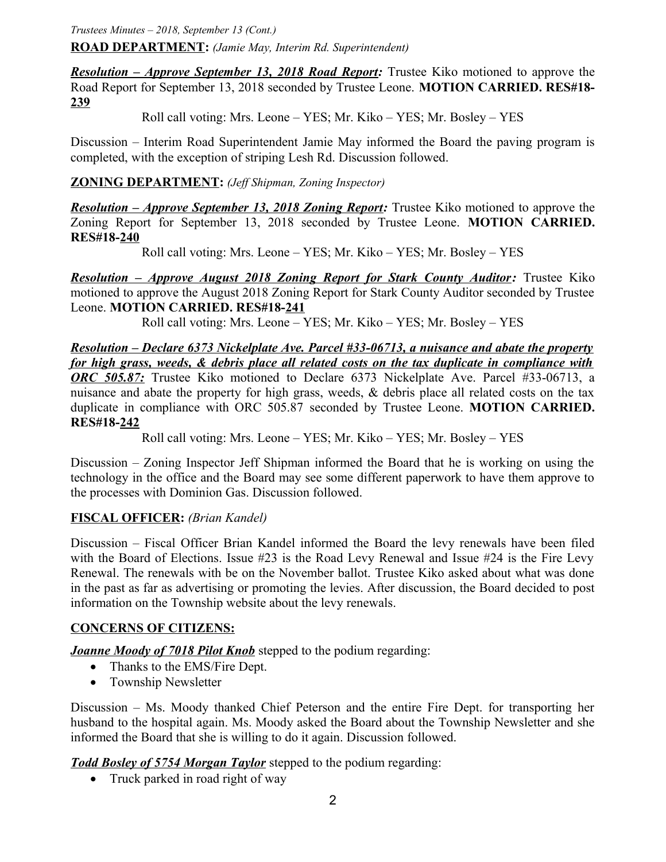*Trustees Minutes – 2018, September 13 (Cont.)*

**ROAD DEPARTMENT:** *(Jamie May, Interim Rd. Superintendent)*

*Resolution – Approve September 13, 2018 Road Report:* Trustee Kiko motioned to approve the Road Report for September 13, 2018 seconded by Trustee Leone. **MOTION CARRIED. RES#18- 239**

Roll call voting: Mrs. Leone – YES; Mr. Kiko – YES; Mr. Bosley – YES

Discussion – Interim Road Superintendent Jamie May informed the Board the paving program is completed, with the exception of striping Lesh Rd. Discussion followed.

**ZONING DEPARTMENT:** *(Jeff Shipman, Zoning Inspector)*

*Resolution – Approve September 13, 2018 Zoning Report:* Trustee Kiko motioned to approve the Zoning Report for September 13, 2018 seconded by Trustee Leone. **MOTION CARRIED. RES#18-240**

Roll call voting: Mrs. Leone – YES; Mr. Kiko – YES; Mr. Bosley – YES

*Resolution – Approve August 2018 Zoning Report for Stark County Auditor: Trustee Kiko* motioned to approve the August 2018 Zoning Report for Stark County Auditor seconded by Trustee Leone. **MOTION CARRIED. RES#18-241**

Roll call voting: Mrs. Leone – YES; Mr. Kiko – YES; Mr. Bosley – YES

*Resolution – Declare 6373 Nickelplate Ave. Parcel #33-06713, a nuisance and abate the property for high grass, weeds, & debris place all related costs on the tax duplicate in compliance with ORC 505.87:* Trustee Kiko motioned to Declare 6373 Nickelplate Ave. Parcel #33-06713, a nuisance and abate the property for high grass, weeds, & debris place all related costs on the tax duplicate in compliance with ORC 505.87 seconded by Trustee Leone. **MOTION CARRIED. RES#18-242**

Roll call voting: Mrs. Leone – YES; Mr. Kiko – YES; Mr. Bosley – YES

Discussion – Zoning Inspector Jeff Shipman informed the Board that he is working on using the technology in the office and the Board may see some different paperwork to have them approve to the processes with Dominion Gas. Discussion followed.

#### **FISCAL OFFICER:** *(Brian Kandel)*

Discussion – Fiscal Officer Brian Kandel informed the Board the levy renewals have been filed with the Board of Elections. Issue #23 is the Road Levy Renewal and Issue #24 is the Fire Levy Renewal. The renewals with be on the November ballot. Trustee Kiko asked about what was done in the past as far as advertising or promoting the levies. After discussion, the Board decided to post information on the Township website about the levy renewals.

### **CONCERNS OF CITIZENS:**

*Joanne Moody of 7018 Pilot Knob* stepped to the podium regarding:

- Thanks to the EMS/Fire Dept.
- Township Newsletter

Discussion – Ms. Moody thanked Chief Peterson and the entire Fire Dept. for transporting her husband to the hospital again. Ms. Moody asked the Board about the Township Newsletter and she informed the Board that she is willing to do it again. Discussion followed.

*Todd Bosley of 5754 Morgan Taylor* stepped to the podium regarding:

• Truck parked in road right of way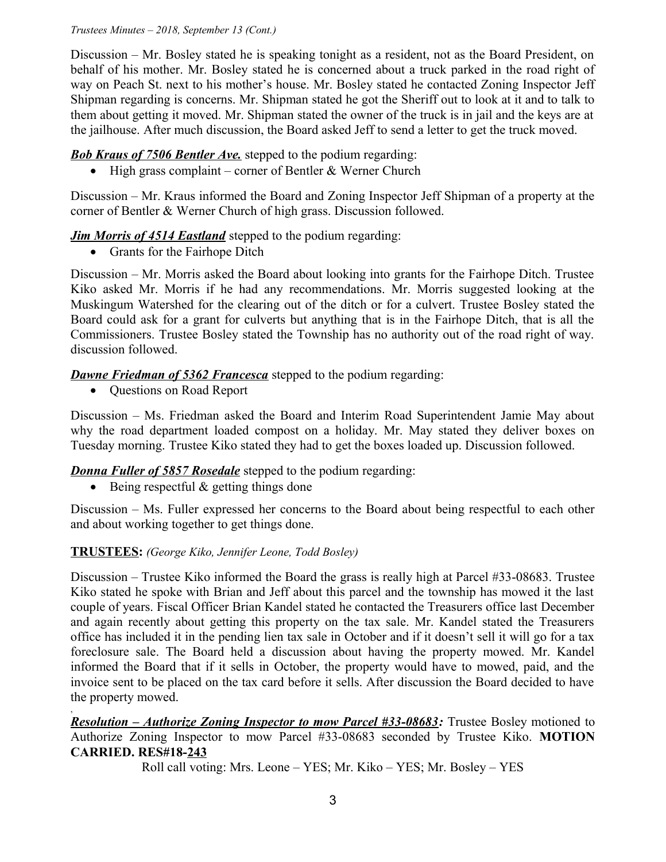#### *Trustees Minutes – 2018, September 13 (Cont.)*

Discussion – Mr. Bosley stated he is speaking tonight as a resident, not as the Board President, on behalf of his mother. Mr. Bosley stated he is concerned about a truck parked in the road right of way on Peach St. next to his mother's house. Mr. Bosley stated he contacted Zoning Inspector Jeff Shipman regarding is concerns. Mr. Shipman stated he got the Sheriff out to look at it and to talk to them about getting it moved. Mr. Shipman stated the owner of the truck is in jail and the keys are at the jailhouse. After much discussion, the Board asked Jeff to send a letter to get the truck moved.

## **Bob Kraus of 7506 Bentler Ave.** stepped to the podium regarding:

 $\bullet$  High grass complaint – corner of Bentler & Werner Church

Discussion – Mr. Kraus informed the Board and Zoning Inspector Jeff Shipman of a property at the corner of Bentler & Werner Church of high grass. Discussion followed.

# *Jim Morris of 4514 Eastland* stepped to the podium regarding:

• Grants for the Fairhope Ditch

Discussion – Mr. Morris asked the Board about looking into grants for the Fairhope Ditch. Trustee Kiko asked Mr. Morris if he had any recommendations. Mr. Morris suggested looking at the Muskingum Watershed for the clearing out of the ditch or for a culvert. Trustee Bosley stated the Board could ask for a grant for culverts but anything that is in the Fairhope Ditch, that is all the Commissioners. Trustee Bosley stated the Township has no authority out of the road right of way. discussion followed.

### *Dawne Friedman of 5362 Francesca* stepped to the podium regarding:

• Questions on Road Report

,

Discussion – Ms. Friedman asked the Board and Interim Road Superintendent Jamie May about why the road department loaded compost on a holiday. Mr. May stated they deliver boxes on Tuesday morning. Trustee Kiko stated they had to get the boxes loaded up. Discussion followed.

# *Donna Fuller of 5857 Rosedale* stepped to the podium regarding:

 $\bullet$  Being respectful & getting things done

Discussion – Ms. Fuller expressed her concerns to the Board about being respectful to each other and about working together to get things done.

### **TRUSTEES:** *(George Kiko, Jennifer Leone, Todd Bosley)*

Discussion – Trustee Kiko informed the Board the grass is really high at Parcel #33-08683. Trustee Kiko stated he spoke with Brian and Jeff about this parcel and the township has mowed it the last couple of years. Fiscal Officer Brian Kandel stated he contacted the Treasurers office last December and again recently about getting this property on the tax sale. Mr. Kandel stated the Treasurers office has included it in the pending lien tax sale in October and if it doesn't sell it will go for a tax foreclosure sale. The Board held a discussion about having the property mowed. Mr. Kandel informed the Board that if it sells in October, the property would have to mowed, paid, and the invoice sent to be placed on the tax card before it sells. After discussion the Board decided to have the property mowed.

 *Resolution – Authorize Zoning Inspector to mow Parcel #33-08683:* Trustee Bosley motioned to Authorize Zoning Inspector to mow Parcel #33-08683 seconded by Trustee Kiko. **MOTION CARRIED. RES#18-243**

Roll call voting: Mrs. Leone – YES; Mr. Kiko – YES; Mr. Bosley – YES